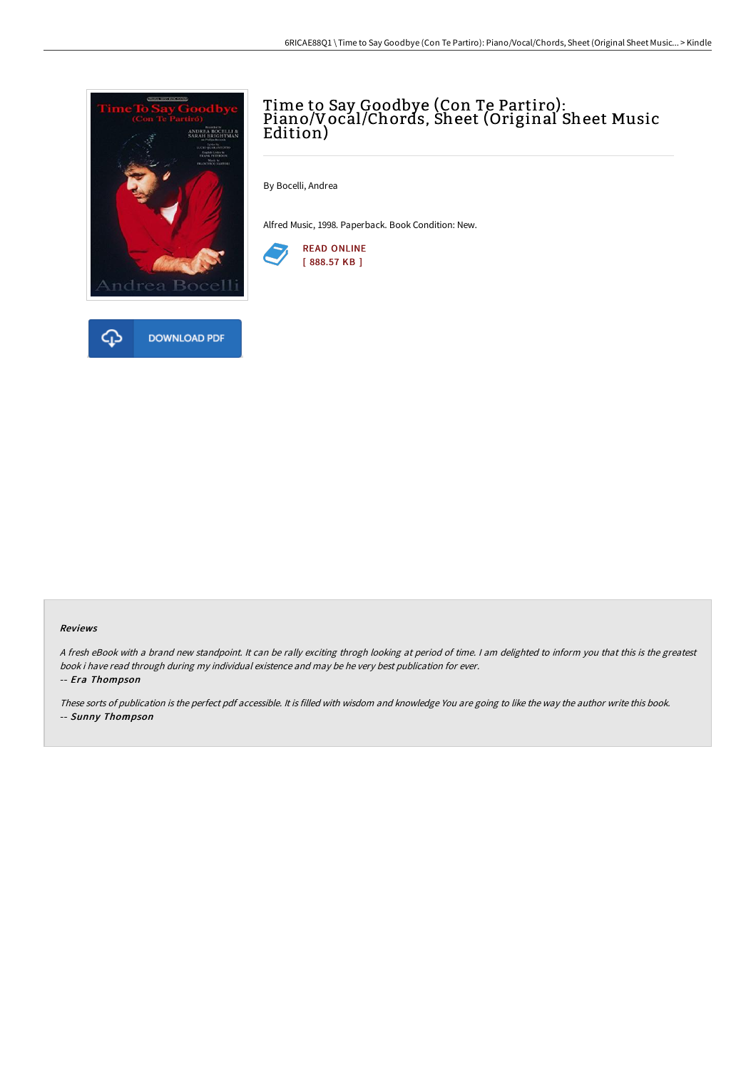

## Time to Say Goodbye (Con Te Partiro): Piano/Vocal/Chords, Sheet (Original Sheet Music Edition)

By Bocelli, Andrea

Alfred Music, 1998. Paperback. Book Condition: New.



## Reviews

<sup>A</sup> fresh eBook with <sup>a</sup> brand new standpoint. It can be rally exciting throgh looking at period of time. <sup>I</sup> am delighted to inform you that this is the greatest book i have read through during my individual existence and may be he very best publication for ever.

-- Era Thompson

These sorts of publication is the perfect pdf accessible. It is filled with wisdom and knowledge You are going to like the way the author write this book. -- Sunny Thompson